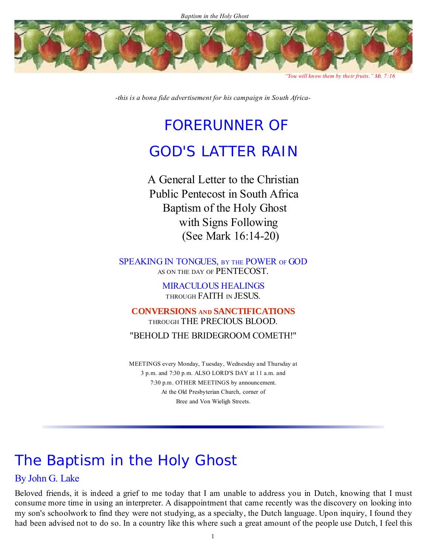

*"You will know them by their fruits." Mt. 7:16* 

*-this is a bona fide advertisement for his campaign in South Africa-*

## FORERUNNER OF

### GOD'S LATTER RAIN

A General Letter to the Christian Public Pentecost in South Africa Baptism of the Holy Ghost with Signs Following (See Mark 16:14-20)

SPEAKING IN TONGUES, BY THE POWER OF GOD AS ON THE DAY OF PENTECOST.

> MIRACULOUS HEALINGS THROUGH FAITH IN JESUS.

**CONVERSIONS AND SANCTIFICATIONS** THROUGH THE PRECIOUS BLOOD. "BEHOLD THE BRIDEGROOM COMETH!"

MEETINGS every Monday, Tuesday, Wednesday and Thursday at 3 p.m. and 7:30 p.m. ALSO LORD'S DAY at 11 a.m. and 7:30 p.m. OTHER MEETINGS by announcement. At the Old Presbyterian Church, corner of Bree and Von Wieligh Streets.

# The Baptism in the Holy Ghost

### By John G. Lake

Beloved friends, it is indeed a grief to me today that I am unable to address you in Dutch, knowing that I must consume more time in using an interpreter. A disappointment that came recently was the discovery on looking into my son's schoolwork to find they were not studying, as a specialty, the Dutch language. Upon inquiry, I found they had been advised not to do so. In a country like this where such a great amount of the people use Dutch, I feel this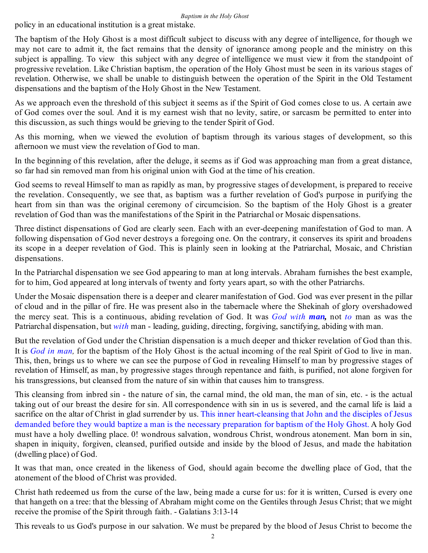policy in an educational institution is a great mistake.

The baptism of the Holy Ghost is a most difficult subject to discuss with any degree of intelligence, for though we may not care to admit it, the fact remains that the density of ignorance among people and the ministry on this subject is appalling. To view this subject with any degree of intelligence we must view it from the standpoint of progressive revelation. Like Christian baptism, the operation of the Holy Ghost must be seen in its various stages of revelation. Otherwise, we shall be unable to distinguish between the operation of the Spirit in the Old Testament dispensations and the baptism of the Holy Ghost in the New Testament.

As we approach even the threshold of this subject it seems as if the Spirit of God comes close to us. A certain awe of God comes over the soul. And it is my earnest wish that no levity, satire, or sarcasm be permitted to enter into this discussion, as such things would be grieving to the tender Spirit of God.

As this morning, when we viewed the evolution of baptism through its various stages of development, so this afternoon we must view the revelation of God to man.

In the beginning of this revelation, after the deluge, it seems as if God was approaching man from a great distance, so far had sin removed man from his original union with God at the time of his creation.

God seems to reveal Himself to man as rapidly as man, by progressive stages of development, is prepared to receive the revelation. Consequently, we see that, as baptism was a further revelation of God's purpose in purifying the heart from sin than was the original ceremony of circumcision. So the baptism of the Holy Ghost is a greater revelation of God than was the manifestations of the Spirit in the Patriarchal or Mosaic dispensations.

Three distinct dispensations of God are clearly seen. Each with an ever-deepening manifestation of God to man. A following dispensation of God never destroys a foregoing one. On the contrary, it conserves its spirit and broadens its scope in a deeper revelation of God. This is plainly seen in looking at the Patriarchal, Mosaic, and Christian dispensations.

In the Patriarchal dispensation we see God appearing to man at long intervals. Abraham furnishes the best example, for to him, God appeared at long intervals of twenty and forty years apart, so with the other Patriarchs.

Under the Mosaic dispensation there is a deeper and clearer manifestation of God. God was ever present in the pillar of cloud and in the pillar of fire. He was present also in the tabernacle where the Shekinah of glory overshadowed the mercy seat. This is a continuous, abiding revelation of God. It was *God with man,* not *to* man as was the Patriarchal dispensation, but *with* man - leading, guiding, directing, forgiving, sanctifying, abiding with man.

But the revelation of God under the Christian dispensation is a much deeper and thicker revelation of God than this. It is *God in man,* for the baptism of the Holy Ghost is the actual incoming of the real Spirit of God to live in man. This, then, brings us to where we can see the purpose of God in revealing Himself to man by progressive stages of revelation of Himself, as man, by progressive stages through repentance and faith, is purified, not alone forgiven for his transgressions, but cleansed from the nature of sin within that causes him to transgress.

This cleansing from inbred sin - the nature of sin, the carnal mind, the old man, the man of sin, etc. - is the actual taking out of our breast the desire for sin. All correspondence with sin in us is severed, and the carnal life is laid a sacrifice on the altar of Christ in glad surrender by us. This inner heart-cleansing that John and the disciples of Jesus demanded before they would baptize a man is the necessary preparation for baptism of the Holy Ghost. A holy God must have a holy dwelling place. 0! wondrous salvation, wondrous Christ, wondrous atonement. Man born in sin, shapen in iniquity, forgiven, cleansed, purified outside and inside by the blood of Jesus, and made the habitation (dwelling place) of God.

It was that man, once created in the likeness of God, should again become the dwelling place of God, that the atonement of the blood of Christ was provided.

Christ hath redeemed us from the curse of the law, being made a curse for us: for it is written, Cursed is every one that hangeth on a tree: that the blessing of Abraham might come on the Gentiles through Jesus Christ; that we might receive the promise of the Spirit through faith. - Galatians 3:13-14

This reveals to us God's purpose in our salvation. We must be prepared by the blood of Jesus Christ to become the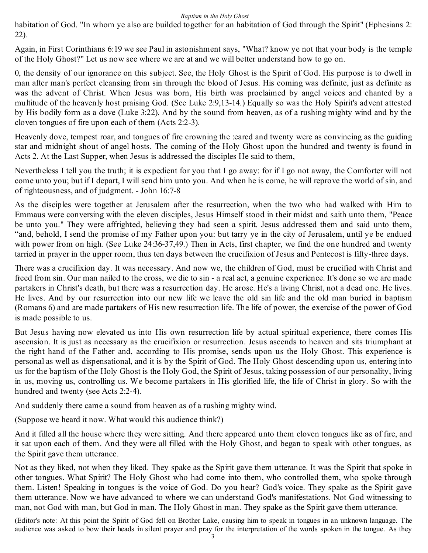habitation of God. "In whom ye also are builded together for an habitation of God through the Spirit" (Ephesians 2: 22).

Again, in First Corinthians 6:19 we see Paul in astonishment says, "What? know ye not that your body is the temple of the Holy Ghost?" Let us now see where we are at and we will better understand how to go on.

0, the density of our ignorance on this subject. See, the Holy Ghost is the Spirit of God. His purpose is to dwell in man after man's perfect cleansing from sin through the blood of Jesus. His coming was definite, just as definite as was the advent of Christ. When Jesus was born, His birth was proclaimed by angel voices and chanted by a multitude of the heavenly host praising God. (See Luke 2:9,13-14.) Equally so was the Holy Spirit's advent attested by His bodily form as a dove (Luke 3:22). And by the sound from heaven, as of a rushing mighty wind and by the cloven tongues of fire upon each of them (Acts 2:2-3).

Heavenly dove, tempest roar, and tongues of fire crowning the :eared and twenty were as convincing as the guiding star and midnight shout of angel hosts. The coming of the Holy Ghost upon the hundred and twenty is found in Acts 2. At the Last Supper, when Jesus is addressed the disciples He said to them,

Nevertheless I tell you the truth; it is expedient for you that I go away: for if I go not away, the Comforter will not come unto you; but if I depart, I will send him unto you. And when he is come, he will reprove the world of sin, and of righteousness, and of judgment. - John 16:7-8

As the disciples were together at Jerusalem after the resurrection, when the two who had walked with Him to Emmaus were conversing with the eleven disciples, Jesus Himself stood in their midst and saith unto them, "Peace be unto you." They were affrighted, believing they had seen a spirit. Jesus addressed them and said unto them, "and, behold, I send the promise of my Father upon you: but tarry ye in the city of Jerusalem, until ye be endued with power from on high. (See Luke 24:36-37,49.) Then in Acts, first chapter, we find the one hundred and twenty tarried in prayer in the upper room, thus ten days between the crucifixion of Jesus and Pentecost is fifty-three days.

There was a crucifixion day. It was necessary. And now we, the children of God, must be crucified with Christ and freed from sin. Our man nailed to the cross, we die to sin - a real act, a genuine experience. It's done so we are made partakers in Christ's death, but there was a resurrection day. He arose. He's a living Christ, not a dead one. He lives. He lives. And by our resurrection into our new life we leave the old sin life and the old man buried in baptism (Romans 6) and are made partakers of His new resurrection life. The life of power, the exercise of the power of God is made possible to us.

But Jesus having now elevated us into His own resurrection life by actual spiritual experience, there comes His ascension. It is just as necessary as the crucifixion or resurrection. Jesus ascends to heaven and sits triumphant at the right hand of the Father and, according to His promise, sends upon us the Holy Ghost. This experience is personal as well as dispensational, and it is by the Spirit of God. The Holy Ghost descending upon us, entering into us for the baptism of the Holy Ghost is the Holy God, the Spirit of Jesus, taking possession of our personality, living in us, moving us, controlling us. We become partakers in His glorified life, the life of Christ in glory. So with the hundred and twenty (see Acts 2:2-4).

And suddenly there came a sound from heaven as of a rushing mighty wind.

(Suppose we heard it now. What would this audience think?)

And it filled all the house where they were sitting. And there appeared unto them cloven tongues like as of fire, and it sat upon each of them. And they were all filled with the Holy Ghost, and began to speak with other tongues, as the Spirit gave them utterance.

Not as they liked, not when they liked. They spake as the Spirit gave them utterance. It was the Spirit that spoke in other tongues. What Spirit? The Holy Ghost who had come into them, who controlled them, who spoke through them. Listen! Speaking in tongues is the voice of God. Do you hear? God's voice. They spake as the Spirit gave them utterance. Now we have advanced to where we can understand God's manifestations. Not God witnessing to man, not God with man, but God in man. The Holy Ghost in man. They spake as the Spirit gave them utterance.

(Editor's note: At this point the Spirit of God fell on Brother Lake, causing him to speak in tongues in an unknown language. The audience was asked to bow their heads in silent prayer and pray for the interpretation of the words spoken in the tongue. As they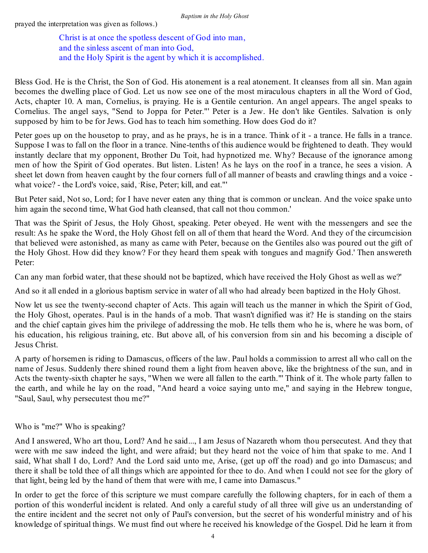prayed the interpretation was given as follows.)

Christ is at once the spotless descent of God into man, and the sinless ascent of man into God, and the Holy Spirit is the agent by which it is accomplished.

Bless God. He is the Christ, the Son of God. His atonement is a real atonement. It cleanses from all sin. Man again becomes the dwelling place of God. Let us now see one of the most miraculous chapters in all the Word of God, Acts, chapter 10. A man, Cornelius, is praying. He is a Gentile centurion. An angel appears. The angel speaks to Cornelius. The angel says, "Send to Joppa for Peter."' Peter is a Jew. He don't like Gentiles. Salvation is only supposed by him to be for Jews. God has to teach him something. How does God do it?

Peter goes up on the housetop to pray, and as he prays, he is in a trance. Think of it - a trance. He falls in a trance. Suppose I was to fall on the floor in a trance. Nine-tenths of this audience would be frightened to death. They would instantly declare that my opponent, Brother Du Toit, had hypnotized me. Why? Because of the ignorance among men of how the Spirit of God operates. But listen. Listen! As he lays on the roof in a trance, he sees a vision. A sheet let down from heaven caught by the four corners full of all manner of beasts and crawling things and a voice what voice? - the Lord's voice, said, Rise, Peter; kill, and eat."'

But Peter said, Not so, Lord; for I have never eaten any thing that is common or unclean. And the voice spake unto him again the second time, What God hath cleansed, that call not thou common.'

That was the Spirit of Jesus, the Holy Ghost, speaking. Peter obeyed. He went with the messengers and see the result: As he spake the Word, the Holy Ghost fell on all of them that heard the Word. And they of the circumcision that believed were astonished, as many as came with Peter, because on the Gentiles also was poured out the gift of the Holy Ghost. How did they know? For they heard them speak with tongues and magnify God.' Then answereth Peter:

Can any man forbid water, that these should not be baptized, which have received the Holy Ghost as well as we?'

And so it all ended in a glorious baptism service in water of all who had already been baptized in the Holy Ghost.

Now let us see the twenty-second chapter of Acts. This again will teach us the manner in which the Spirit of God, the Holy Ghost, operates. Paul is in the hands of a mob. That wasn't dignified was it? He is standing on the stairs and the chief captain gives him the privilege of addressing the mob. He tells them who he is, where he was born, of his education, his religious training, etc. But above all, of his conversion from sin and his becoming a disciple of Jesus Christ.

A party of horsemen is riding to Damascus, officers of the law. Paul holds a commission to arrest all who call on the name of Jesus. Suddenly there shined round them a light from heaven above, like the brightness of the sun, and in Acts the twenty-sixth chapter he says, "When we were all fallen to the earth."' Think of it. The whole party fallen to the earth, and while he lay on the road, "And heard a voice saying unto me," and saying in the Hebrew tongue, "Saul, Saul, why persecutest thou me?"

Who is "me?" Who is speaking?

And I answered, Who art thou, Lord? And he said..., I am Jesus of Nazareth whom thou persecutest. And they that were with me saw indeed the light, and were afraid; but they heard not the voice of him that spake to me. And I said, What shall I do, Lord? And the Lord said unto me, Arise, (get up off the road) and go into Damascus; and there it shall be told thee of all things which are appointed for thee to do. And when I could not see for the glory of that light, being led by the hand of them that were with me, I came into Damascus."

In order to get the force of this scripture we must compare carefully the following chapters, for in each of them a portion of this wonderful incident is related. And only a careful study of all three will give us an understanding of the entire incident and the secret not only of Paul's conversion, but the secret of his wonderful ministry and of his knowledge of spiritual things. We must find out where he received his knowledge of the Gospel. Did he learn it from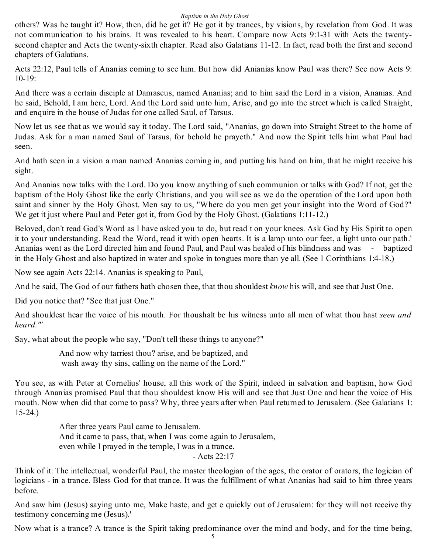others? Was he taught it? How, then, did he get it? He got it by trances, by visions, by revelation from God. It was not communication to his brains. It was revealed to his heart. Compare now Acts 9:1-31 with Acts the twentysecond chapter and Acts the twenty-sixth chapter. Read also Galatians 11-12. In fact, read both the first and second chapters of Galatians.

Acts 22:12, Paul tells of Ananias coming to see him. But how did Anianias know Paul was there? See now Acts 9: 10-19:

And there was a certain disciple at Damascus, named Ananias; and to him said the Lord in a vision, Ananias. And he said, Behold, I am here, Lord. And the Lord said unto him, Arise, and go into the street which is called Straight, and enquire in the house of Judas for one called Saul, of Tarsus.

Now let us see that as we would say it today. The Lord said, "Ananias, go down into Straight Street to the home of Judas. Ask for a man named Saul of Tarsus, for behold he prayeth." And now the Spirit tells him what Paul had seen.

And hath seen in a vision a man named Ananias coming in, and putting his hand on him, that he might receive his sight.

And Ananias now talks with the Lord. Do you know anything of such communion or talks with God? If not, get the baptism of the Holy Ghost like the early Christians, and you will see as we do the operation of the Lord upon both saint and sinner by the Holy Ghost. Men say to us, "Where do you men get your insight into the Word of God?" We get it just where Paul and Peter got it, from God by the Holy Ghost. (Galatians 1:11-12.)

Beloved, don't read God's Word as I have asked you to do, but read t on your knees. Ask God by His Spirit to open it to your understanding. Read the Word, read it with open hearts. It is a lamp unto our feet, a light unto our path.' Ananias went as the Lord directed him and found Paul, and Paul was healed of his blindness and was - baptized in the Holy Ghost and also baptized in water and spoke in tongues more than ye all. (See 1 Corinthians 1:4-18.)

Now see again Acts 22:14. Ananias is speaking to Paul,

And he said, The God of our fathers hath chosen thee, that thou shouldest *know* his will, and see that Just One.

Did you notice that? "See that just One."

And shouldest hear the voice of his mouth. For thoushalt be his witness unto all men of what thou hast *seen and heard."'*

Say, what about the people who say, "Don't tell these things to anyone?"

And now why tarriest thou? arise, and be baptized, and wash away thy sins, calling on the name of the Lord."

You see, as with Peter at Cornelius' house, all this work of the Spirit, indeed in salvation and baptism, how God through Ananias promised Paul that thou shouldest know His will and see that Just One and hear the voice of His mouth. Now when did that come to pass? Why, three years after when Paul returned to Jerusalem. (See Galatians 1: 15-24.)

> After three years Paul came to Jerusalem. And it came to pass, that, when I was come again to Jerusalem, even while I prayed in the temple, I was in a trance. - Acts 22:17

Think of it: The intellectual, wonderful Paul, the master theologian of the ages, the orator of orators, the logician of logicians - in a trance. Bless God for that trance. It was the fulfillment of what Ananias had said to him three years before.

And saw him (Jesus) saying unto me, Make haste, and get e quickly out of Jerusalem: for they will not receive thy testimony concerning me (Jesus).'

Now what is a trance? A trance is the Spirit taking predominance over the mind and body, and for the time being,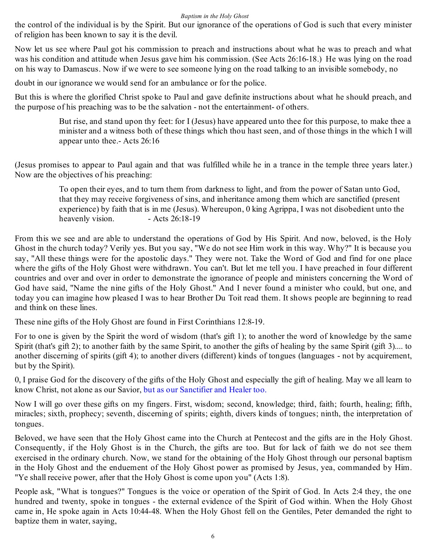the control of the individual is by the Spirit. But our ignorance of the operations of God is such that every minister of religion has been known to say it is the devil.

Now let us see where Paul got his commission to preach and instructions about what he was to preach and what was his condition and attitude when Jesus gave him his commission. (See Acts 26:16-18.) He was lying on the road on his way to Damascus. Now if we were to see someone lying on the road talking to an invisible somebody, no

doubt in our ignorance we would send for an ambulance or for the police.

But this is where the glorified Christ spoke to Paul and gave definite instructions about what he should preach, and the purpose of his preaching was to be the salvation - not the entertainment- of others.

> But rise, and stand upon thy feet: for I (Jesus) have appeared unto thee for this purpose, to make thee a minister and a witness both of these things which thou hast seen, and of those things in the which I will appear unto thee.- Acts 26:16

(Jesus promises to appear to Paul again and that was fulfilled while he in a trance in the temple three years later.) Now are the objectives of his preaching:

> To open their eyes, and to turn them from darkness to light, and from the power of Satan unto God, that they may receive forgiveness of sins, and inheritance among them which are sanctified (present experience) by faith that is in me (Jesus). Whereupon, 0 king Agrippa, I was not disobedient unto the heavenly vision. - Acts 26:18-19

From this we see and are able to understand the operations of God by His Spirit. And now, beloved, is the Holy Ghost in the church today? Verily yes. But you say, "We do not see Him work in this way. Why?" It is because you say, "All these things were for the apostolic days." They were not. Take the Word of God and find for one place where the gifts of the Holy Ghost were withdrawn. You can't. But let me tell you. I have preached in four different countries and over and over in order to demonstrate the ignorance of people and ministers concerning the Word of God have said, "Name the nine gifts of the Holy Ghost." And I never found a minister who could, but one, and today you can imagine how pleased I was to hear Brother Du Toit read them. It shows people are beginning to read and think on these lines.

These nine gifts of the Holy Ghost are found in First Corinthians 12:8-19.

For to one is given by the Spirit the word of wisdom (that's gift 1); to another the word of knowledge by the same Spirit (that's gift 2); to another faith by the same Spirit, to another the gifts of healing by the same Spirit (gift 3).... to another discerning of spirits (gift 4); to another divers (different) kinds of tongues (languages - not by acquirement, but by the Spirit).

0, I praise God for the discovery of the gifts of the Holy Ghost and especially the gift of healing. May we all learn to know Christ, not alone as our Savior, but as our Sanctifier and Healer too.

Now I will go over these gifts on my fingers. First, wisdom; second, knowledge; third, faith; fourth, healing; fifth, miracles; sixth, prophecy; seventh, discerning of spirits; eighth, divers kinds of tongues; ninth, the interpretation of tongues.

Beloved, we have seen that the Holy Ghost came into the Church at Pentecost and the gifts are in the Holy Ghost. Consequently, if the Holy Ghost is in the Church, the gifts are too. But for lack of faith we do not see them exercised in the ordinary church. Now, we stand for the obtaining of the Holy Ghost through our personal baptism in the Holy Ghost and the enduement of the Holy Ghost power as promised by Jesus, yea, commanded by Him. "Ye shall receive power, after that the Holy Ghost is come upon you" (Acts 1:8).

People ask, "What is tongues?" Tongues is the voice or operation of the Spirit of God. In Acts 2:4 they, the one hundred and twenty, spoke in tongues - the external evidence of the Spirit of God within. When the Holy Ghost came in, He spoke again in Acts 10:44-48. When the Holy Ghost fell on the Gentiles, Peter demanded the right to baptize them in water, saying,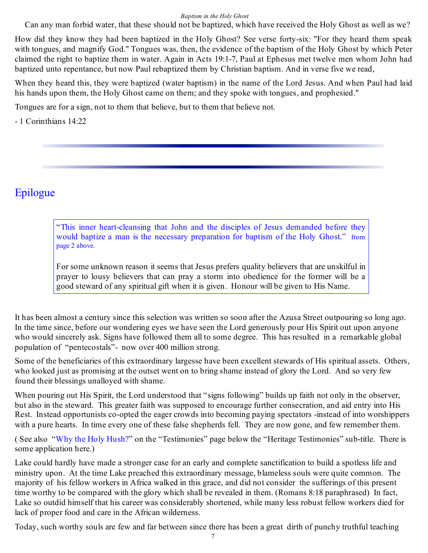Can any man forbid water, that these should not be baptized, which have received the Holy Ghost as well as we?

How did they know they had been baptized in the Holy Ghost? See verse forty-six: "For they heard them speak with tongues, and magnify God." Tongues was, then, the evidence of the baptism of the Holy Ghost by which Peter claimed the right to baptize them in water. Again in Acts 19:1-7, Paul at Ephesus met twelve men whom John had baptized unto repentance, but now Paul rebaptized them by Christian baptism. And in verse five we read,

When they heard this, they were baptized (water baptism) in the name of the Lord Jesus. And when Paul had laid his hands upon them, the Holy Ghost came on them; and they spoke with tongues, and prophesied."

Tongues are for a sign, not to them that believe, but to them that believe not.

- 1 Corinthians 14:22

### Epilogue

"This inner heart-cleansing that John and the disciples of Jesus demanded before they would baptize a man is the necessary preparation for baptism of the Holy Ghost." from page 2 above.

For some unknown reason it seems that Jesus prefers quality believers that are unskilful in prayer to lousy believers that can pray a storm into obedience for the former will be a good steward of any spiritual gift when it is given. Honour will be given to His Name.

It has been almost a century since this selection was written so soon after the Azusa Street outpouring so long ago. In the time since, before our wondering eyes we have seen the Lord generously pour His Spirit out upon anyone who would sincerely ask. Signs have followed them all to some degree. This has resulted in a remarkable global population of "pentecostals"- now over 400 million strong.

Some of the beneficiaries of this extraordinary largesse have been excellent stewards of His spiritual assets. Others, who looked just as promising at the outset went on to bring shame instead of glory the Lord. And so very few found their blessings unalloyed with shame.

When pouring out His Spirit, the Lord understood that "signs following" builds up faith not only in the observer, but also in the steward. This greater faith was supposed to encourage further consecration, and aid entry into His Rest. Instead opportunists co-opted the eager crowds into becoming paying spectators -instead of into worshippers with a pure hearts. In time every one of these false shepherds fell. They are now gone, and few remember them.

( See also "Why the Holy Hush?" on the "Testimonies" page below the "Heritage Testimonies" sub-title. There is some application here.)

Lake could hardly have made a stronger case for an early and complete sanctification to build a spotless life and ministry upon. At the time Lake preached this extraordinary message, blameless souls were quite common. The majority of his fellow workers in Africa walked in this grace, and did not consider the sufferings of this present time worthy to be compared with the glory which shall be revealed in them. (Romans 8:18 paraphrased) In fact, Lake so outdid himself that his career was considerably shortened, while many less robust fellow workers died for lack of proper food and care in the African wilderness.

Today, such worthy souls are few and far between since there has been a great dirth of punchy truthful teaching